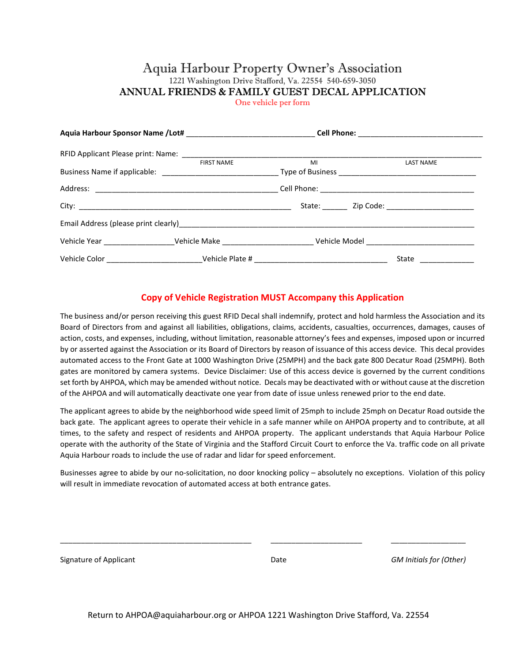## Aquia Harbour Property Owner's Association 1221 Washington Drive Stafford, Va. 22554 540-659-3050 ANNUAL FRIENDS & FAMILY GUEST DECAL APPLICATION

One vehicle per form

|  | RFID Applicant Please print: Name: Name: Name: Name: Name: Name: Name: Name: Name: Name: Name: Name: Name: Name: Name: Name: Name: Name: Name: Name: Name: Name: Name: Name: Name: Name: Name: Name: Name: Name: Name: Name: N |    |  |                      |  |
|--|--------------------------------------------------------------------------------------------------------------------------------------------------------------------------------------------------------------------------------|----|--|----------------------|--|
|  | <b>FIRST NAME</b>                                                                                                                                                                                                              | MI |  | <b>LAST NAME</b>     |  |
|  |                                                                                                                                                                                                                                |    |  |                      |  |
|  |                                                                                                                                                                                                                                |    |  |                      |  |
|  |                                                                                                                                                                                                                                |    |  |                      |  |
|  |                                                                                                                                                                                                                                |    |  |                      |  |
|  |                                                                                                                                                                                                                                |    |  |                      |  |
|  |                                                                                                                                                                                                                                |    |  | State ______________ |  |

## Copy of Vehicle Registration MUST Accompany this Application

The business and/or person receiving this guest RFID Decal shall indemnify, protect and hold harmless the Association and its Board of Directors from and against all liabilities, obligations, claims, accidents, casualties, occurrences, damages, causes of action, costs, and expenses, including, without limitation, reasonable attorney's fees and expenses, imposed upon or incurred by or asserted against the Association or its Board of Directors by reason of issuance of this access device. This decal provides automated access to the Front Gate at 1000 Washington Drive (25MPH) and the back gate 800 Decatur Road (25MPH). Both gates are monitored by camera systems. Device Disclaimer: Use of this access device is governed by the current conditions set forth by AHPOA, which may be amended without notice. Decals may be deactivated with or without cause at the discretion of the AHPOA and will automatically deactivate one year from date of issue unless renewed prior to the end date.

The applicant agrees to abide by the neighborhood wide speed limit of 25mph to include 25mph on Decatur Road outside the back gate. The applicant agrees to operate their vehicle in a safe manner while on AHPOA property and to contribute, at all times, to the safety and respect of residents and AHPOA property. The applicant understands that Aquia Harbour Police operate with the authority of the State of Virginia and the Stafford Circuit Court to enforce the Va. traffic code on all private Aquia Harbour roads to include the use of radar and lidar for speed enforcement.

Businesses agree to abide by our no-solicitation, no door knocking policy – absolutely no exceptions. Violation of this policy will result in immediate revocation of automated access at both entrance gates.

Signature of Applicant **Signature of Applicant** COM Initials for (Other) **Date** GM Initials for (Other)

\_\_\_\_\_\_\_\_\_\_\_\_\_\_\_\_\_\_\_\_\_\_\_\_\_\_\_\_\_\_\_\_\_\_\_\_\_\_\_\_\_\_\_\_\_\_ \_\_\_\_\_\_\_\_\_\_\_\_\_\_\_\_\_\_\_\_\_\_ \_\_\_\_\_\_\_\_\_\_\_\_\_\_\_\_\_\_